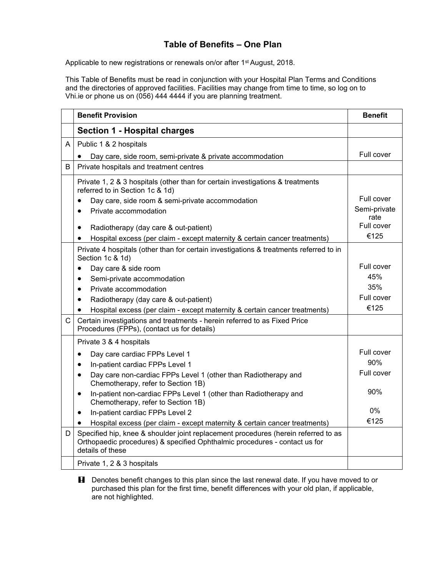## **Table of Benefits – One Plan**

Applicable to new registrations or renewals on/or after 1<sup>st</sup> August, 2018.

This Table of Benefits must be read in conjunction with your Hospital Plan Terms and Conditions and the directories of approved facilities. Facilities may change from time to time, so log on to Vhi.ie or phone us on (056) 444 4444 if you are planning treatment.

|              | <b>Benefit Provision</b>                                                                                                                                                             | <b>Benefit</b>       |
|--------------|--------------------------------------------------------------------------------------------------------------------------------------------------------------------------------------|----------------------|
|              | <b>Section 1 - Hospital charges</b>                                                                                                                                                  |                      |
| A            | Public 1 & 2 hospitals                                                                                                                                                               |                      |
|              | Day care, side room, semi-private & private accommodation                                                                                                                            | Full cover           |
| B            | Private hospitals and treatment centres                                                                                                                                              |                      |
|              | Private 1, 2 & 3 hospitals (other than for certain investigations & treatments<br>referred to in Section 1c & 1d)                                                                    |                      |
|              | Day care, side room & semi-private accommodation                                                                                                                                     | Full cover           |
|              | Private accommodation<br>$\bullet$                                                                                                                                                   | Semi-private<br>rate |
|              | Radiotherapy (day care & out-patient)<br>٠                                                                                                                                           | Full cover           |
|              | Hospital excess (per claim - except maternity & certain cancer treatments)<br>$\bullet$                                                                                              | €125                 |
|              | Private 4 hospitals (other than for certain investigations & treatments referred to in<br>Section 1c & 1d)                                                                           |                      |
|              | Day care & side room<br>$\bullet$                                                                                                                                                    | Full cover           |
|              | Semi-private accommodation<br>$\bullet$                                                                                                                                              | 45%                  |
|              | Private accommodation<br>$\bullet$                                                                                                                                                   | 35%                  |
|              | Radiotherapy (day care & out-patient)<br>$\bullet$                                                                                                                                   | Full cover           |
|              | Hospital excess (per claim - except maternity & certain cancer treatments)                                                                                                           | €125                 |
| $\mathsf{C}$ | Certain investigations and treatments - herein referred to as Fixed Price<br>Procedures (FPPs), (contact us for details)                                                             |                      |
|              | Private 3 & 4 hospitals                                                                                                                                                              |                      |
|              | Day care cardiac FPPs Level 1<br>$\bullet$                                                                                                                                           | Full cover           |
|              | In-patient cardiac FPPs Level 1<br>$\bullet$                                                                                                                                         | 90%                  |
|              | Day care non-cardiac FPPs Level 1 (other than Radiotherapy and<br>$\bullet$<br>Chemotherapy, refer to Section 1B)                                                                    | Full cover           |
|              | In-patient non-cardiac FPPs Level 1 (other than Radiotherapy and<br>٠<br>Chemotherapy, refer to Section 1B)                                                                          | 90%                  |
|              | In-patient cardiac FPPs Level 2<br>٠                                                                                                                                                 | 0%                   |
|              | Hospital excess (per claim - except maternity & certain cancer treatments)                                                                                                           | €125                 |
| D            | Specified hip, knee & shoulder joint replacement procedures (herein referred to as<br>Orthopaedic procedures) & specified Ophthalmic procedures - contact us for<br>details of these |                      |
|              | Private 1, 2 & 3 hospitals                                                                                                                                                           |                      |

**H** Denotes benefit changes to this plan since the last renewal date. If you have moved to or purchased this plan for the first time, benefit differences with your old plan, if applicable, are not highlighted.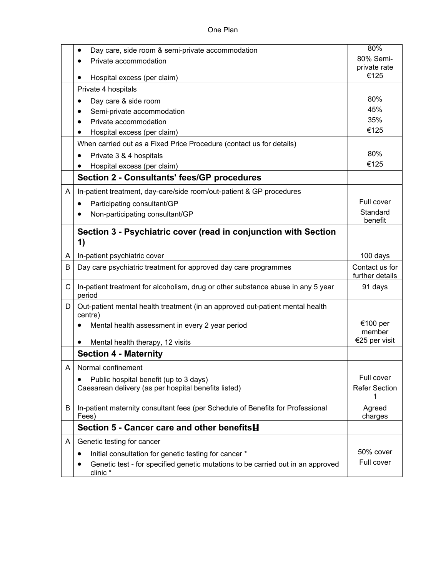|             | Day care, side room & semi-private accommodation                                               | 80%                                |
|-------------|------------------------------------------------------------------------------------------------|------------------------------------|
|             | Private accommodation                                                                          | 80% Semi-                          |
|             |                                                                                                | private rate                       |
|             | Hospital excess (per claim)                                                                    | €125                               |
|             | Private 4 hospitals                                                                            |                                    |
|             | Day care & side room                                                                           | 80%                                |
|             | Semi-private accommodation                                                                     | 45%                                |
|             | Private accommodation                                                                          | 35%                                |
|             | Hospital excess (per claim)                                                                    | €125                               |
|             | When carried out as a Fixed Price Procedure (contact us for details)                           |                                    |
|             | Private 3 & 4 hospitals<br>$\bullet$                                                           | 80%                                |
|             | Hospital excess (per claim)                                                                    | €125                               |
|             | <b>Section 2 - Consultants' fees/GP procedures</b>                                             |                                    |
| A           | In-patient treatment, day-care/side room/out-patient & GP procedures                           |                                    |
|             | Participating consultant/GP<br>$\bullet$                                                       | Full cover                         |
|             | Non-participating consultant/GP<br>$\bullet$                                                   | Standard<br>benefit                |
|             |                                                                                                |                                    |
|             | Section 3 - Psychiatric cover (read in conjunction with Section<br>1)                          |                                    |
| A           | In-patient psychiatric cover                                                                   | 100 days                           |
| B           | Day care psychiatric treatment for approved day care programmes                                | Contact us for<br>further details  |
| $\mathsf C$ | In-patient treatment for alcoholism, drug or other substance abuse in any 5 year<br>period     | 91 days                            |
| D           | Out-patient mental health treatment (in an approved out-patient mental health<br>centre)       |                                    |
|             | Mental health assessment in every 2 year period                                                | €100 per                           |
|             |                                                                                                | member                             |
|             | Mental health therapy, 12 visits                                                               | €25 per visit                      |
|             | <b>Section 4 - Maternity</b>                                                                   |                                    |
| A           | Normal confinement                                                                             |                                    |
|             | Public hospital benefit (up to 3 days)<br>Caesarean delivery (as per hospital benefits listed) | Full cover<br><b>Refer Section</b> |
|             |                                                                                                | 1                                  |
| B           | In-patient maternity consultant fees (per Schedule of Benefits for Professional<br>Fees)       | Agreed<br>charges                  |
|             | Section 5 - Cancer care and other benefitsH                                                    |                                    |
| A           | Genetic testing for cancer                                                                     |                                    |
|             | Initial consultation for genetic testing for cancer *                                          | 50% cover                          |
|             | Genetic test - for specified genetic mutations to be carried out in an approved                | Full cover                         |
|             | clinic*                                                                                        |                                    |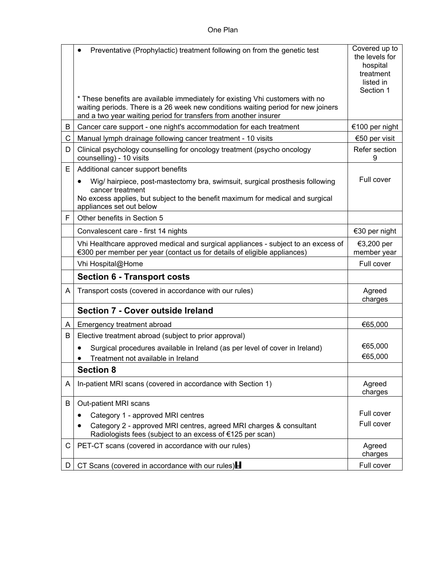## One Plan

|   | Preventative (Prophylactic) treatment following on from the genetic test<br>$\bullet$<br>* These benefits are available immediately for existing Vhi customers with no<br>waiting periods. There is a 26 week new conditions waiting period for new joiners | Covered up to<br>the levels for<br>hospital<br>treatment<br>listed in<br>Section 1 |
|---|-------------------------------------------------------------------------------------------------------------------------------------------------------------------------------------------------------------------------------------------------------------|------------------------------------------------------------------------------------|
| B | and a two year waiting period for transfers from another insurer                                                                                                                                                                                            |                                                                                    |
| C | Cancer care support - one night's accommodation for each treatment<br>Manual lymph drainage following cancer treatment - 10 visits                                                                                                                          | €100 per night<br>€50 per visit                                                    |
| D | Clinical psychology counselling for oncology treatment (psycho oncology<br>counselling) - 10 visits                                                                                                                                                         | Refer section<br>9                                                                 |
| E | Additional cancer support benefits                                                                                                                                                                                                                          |                                                                                    |
|   | Wig/ hairpiece, post-mastectomy bra, swimsuit, surgical prosthesis following<br>$\bullet$<br>cancer treatment<br>No excess applies, but subject to the benefit maximum for medical and surgical<br>appliances set out below                                 | Full cover                                                                         |
| F | Other benefits in Section 5                                                                                                                                                                                                                                 |                                                                                    |
|   | Convalescent care - first 14 nights                                                                                                                                                                                                                         | €30 per night                                                                      |
|   | Vhi Healthcare approved medical and surgical appliances - subject to an excess of<br>€300 per member per year (contact us for details of eligible appliances)                                                                                               | €3,200 per<br>member year                                                          |
|   | Vhi Hospital@Home                                                                                                                                                                                                                                           | Full cover                                                                         |
|   | <b>Section 6 - Transport costs</b>                                                                                                                                                                                                                          |                                                                                    |
| A | Transport costs (covered in accordance with our rules)                                                                                                                                                                                                      | Agreed<br>charges                                                                  |
|   | Section 7 - Cover outside Ireland                                                                                                                                                                                                                           |                                                                                    |
| A | Emergency treatment abroad                                                                                                                                                                                                                                  | €65,000                                                                            |
| В | Elective treatment abroad (subject to prior approval)                                                                                                                                                                                                       |                                                                                    |
|   | Surgical procedures available in Ireland (as per level of cover in Ireland)<br>$\bullet$                                                                                                                                                                    | €65,000                                                                            |
|   | Treatment not available in Ireland                                                                                                                                                                                                                          | €65,000                                                                            |
|   | <b>Section 8</b>                                                                                                                                                                                                                                            |                                                                                    |
| A | In-patient MRI scans (covered in accordance with Section 1)                                                                                                                                                                                                 | Agreed<br>charges                                                                  |
| B | Out-patient MRI scans                                                                                                                                                                                                                                       |                                                                                    |
|   | Category 1 - approved MRI centres                                                                                                                                                                                                                           | Full cover                                                                         |
|   | Category 2 - approved MRI centres, agreed MRI charges & consultant<br>Radiologists fees (subject to an excess of €125 per scan)                                                                                                                             | Full cover                                                                         |
| C | PET-CT scans (covered in accordance with our rules)                                                                                                                                                                                                         | Agreed<br>charges                                                                  |
| D | CT Scans (covered in accordance with our rules) $\blacksquare$                                                                                                                                                                                              | Full cover                                                                         |